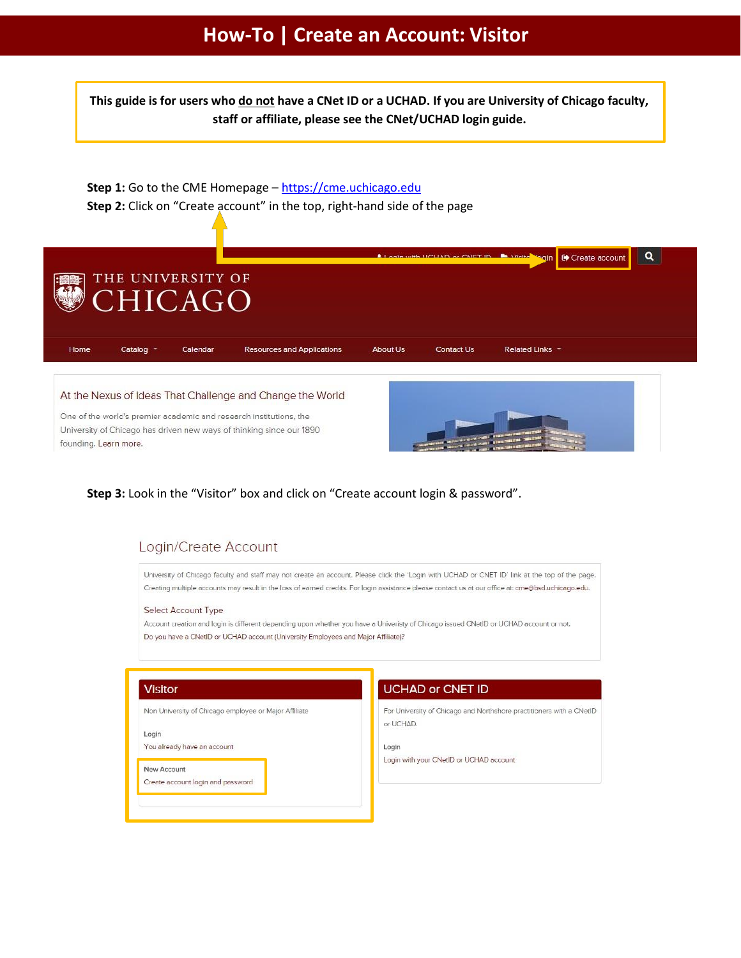# How-To | Create an Account: Visitor

This guide is for users who do not have a CNet ID or a UCHAD. If you are University of Chicago faculty, staff or affiliate, please see the CNet/UCHAD login guide.

Step 1: Go to the CME Homepage - https://cme.uchicago.edu Step 2: Click on "Create account" in the top, right-hand side of the page



University of Chicago has driven new ways of thinking since our 1890 founding. Learn more.

## Step 3: Look in the "Visitor" box and click on "Create account login & password".

# Login/Create Account

University of Chicago faculty and staff may not create an account. Please click the 'Login with UCHAD or CNET ID' link at the top of the page. Creating multiple accounts may result in the loss of earned credits. For login assistance please contact us at our office at: cme@bsd.uchicago.edu.

#### Select Account Type

Account creation and login is different depending upon whether you have a Univeristy of Chicago issued CNetID or UCHAD account or not. Do you have a CNetID or UCHAD account (University Employees and Major Affiliate)?

### **Visitor**

Non University of Chicago employee or Major Affiliate

Login

You already have an account

#### New Account

Create account login and password

### **UCHAD or CNET ID**

For University of Chicago and Northshore practitioners with a CNetID or UCHAD.

Login

Login with your CNetID or UCHAD account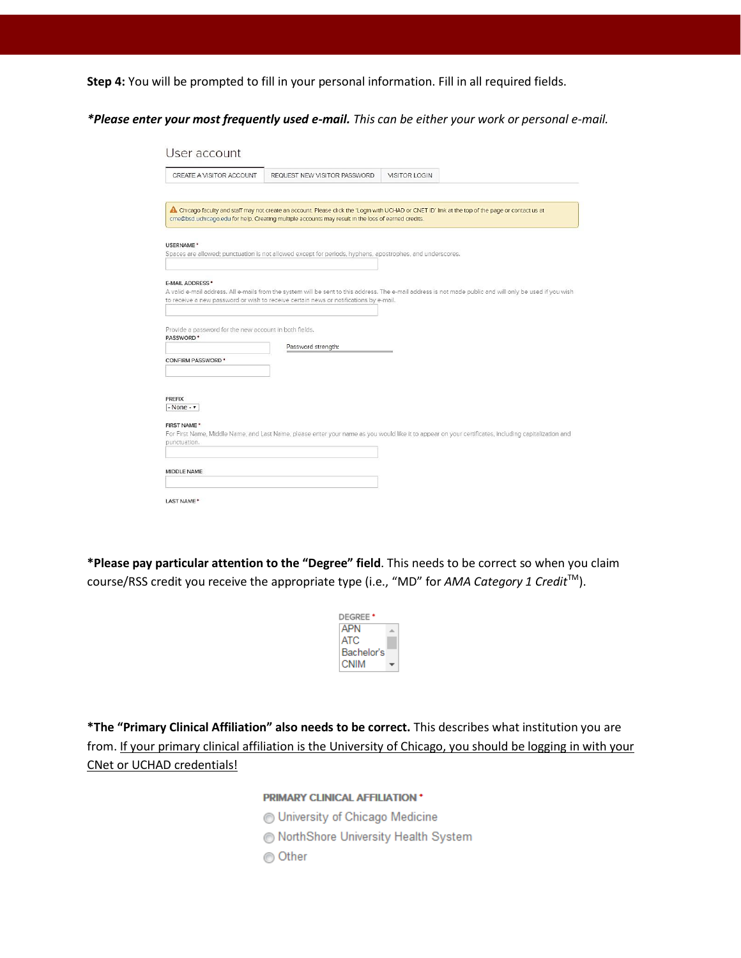**Step 4:** You will be prompted to fill in your personal information. Fill in all required fields.

*\*Please enter your most frequently used e-mail. This can be either your work or personal e-mail.*

| CREATE A VISITOR ACCOUNT                                                                                                                                    | REQUEST NEW VISITOR PASSWORD                                                                              | <b>VISITOR LOGIN</b>                                                                                                                                      |  |
|-------------------------------------------------------------------------------------------------------------------------------------------------------------|-----------------------------------------------------------------------------------------------------------|-----------------------------------------------------------------------------------------------------------------------------------------------------------|--|
|                                                                                                                                                             |                                                                                                           |                                                                                                                                                           |  |
|                                                                                                                                                             | cme@bsd.uchicago.edu for help. Creating multiple accounts may result in the loss of earned credits.       | A. Chicago faculty and staff may not create an account. Please click the 'Login with UCHAD or CNET ID' link at the top of the page or contact us at       |  |
| USERNAME <sup>*</sup>                                                                                                                                       | Spaces are allowed; punctuation is not allowed except for periods, hyphens, apostrophes, and underscores. |                                                                                                                                                           |  |
|                                                                                                                                                             |                                                                                                           |                                                                                                                                                           |  |
| <b>E-MAIL ADDRESS *</b>                                                                                                                                     |                                                                                                           |                                                                                                                                                           |  |
|                                                                                                                                                             |                                                                                                           | A valid e-mail address. All e-mails from the system will be sent to this address. The e-mail address is not made public and will only be used if you wish |  |
|                                                                                                                                                             | to receive a new password or wish to receive certain news or notifications by e-mail.                     |                                                                                                                                                           |  |
|                                                                                                                                                             |                                                                                                           |                                                                                                                                                           |  |
|                                                                                                                                                             |                                                                                                           |                                                                                                                                                           |  |
|                                                                                                                                                             | Password strength:                                                                                        |                                                                                                                                                           |  |
|                                                                                                                                                             |                                                                                                           |                                                                                                                                                           |  |
|                                                                                                                                                             |                                                                                                           |                                                                                                                                                           |  |
| Provide a password for the new account in both fields.<br>PASSWORD <sup>*</sup><br><b>CONFIRM PASSWORD *</b><br>PREFIX<br>$-$ None $ \cdot$<br>FIRST NAME * |                                                                                                           | For First Name, Middle Name, and Last Name, please enter your name as you would like it to appear on your certificates, including capitalization and      |  |
| punctuation.                                                                                                                                                |                                                                                                           |                                                                                                                                                           |  |

**\*Please pay particular attention to the "Degree" field**. This needs to be correct so when you claim course/RSS credit you receive the appropriate type (i.e., "MD" for *AMA Category 1 Credit* TM ).

| DEGREE <sup>+</sup> |  |
|---------------------|--|
| <b>APN</b>          |  |
| ATC.                |  |
| Bachelor's          |  |
| CNIM                |  |

**\*The "Primary Clinical Affiliation" also needs to be correct.** This describes what institution you are from. If your primary clinical affiliation is the University of Chicago, you should be logging in with your CNet or UCHAD credentials!

### PRIMARY CLINICAL AFFILIATION \*

- University of Chicago Medicine
- NorthShore University Health System
- ◎ Other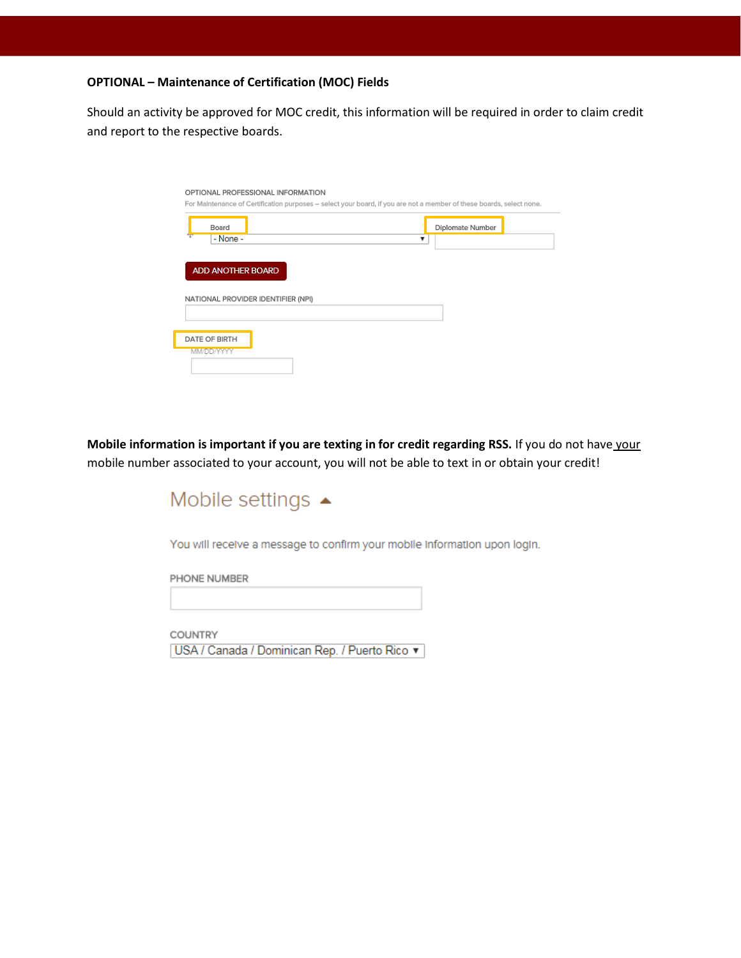### **OPTIONAL – Maintenance of Certification (MOC) Fields**

Should an activity be approved for MOC credit, this information will be required in order to claim credit and report to the respective boards.

|                                    | For Maintenance of Certification purposes - select your board, if you are not a member of these boards, select none. |
|------------------------------------|----------------------------------------------------------------------------------------------------------------------|
| Board                              | Diplomate Number                                                                                                     |
| $-$ None $-$                       | v                                                                                                                    |
|                                    |                                                                                                                      |
| <b>ADD ANOTHER BOARD</b>           |                                                                                                                      |
|                                    |                                                                                                                      |
|                                    |                                                                                                                      |
|                                    |                                                                                                                      |
|                                    |                                                                                                                      |
| NATIONAL PROVIDER IDENTIFIER (NPI) |                                                                                                                      |
|                                    |                                                                                                                      |
|                                    |                                                                                                                      |
| DATE OF BIRTH<br>MM/DD/YYYY        |                                                                                                                      |

**Mobile information is important if you are texting in for credit regarding RSS.** If you do not have your mobile number associated to your account, you will not be able to text in or obtain your credit!